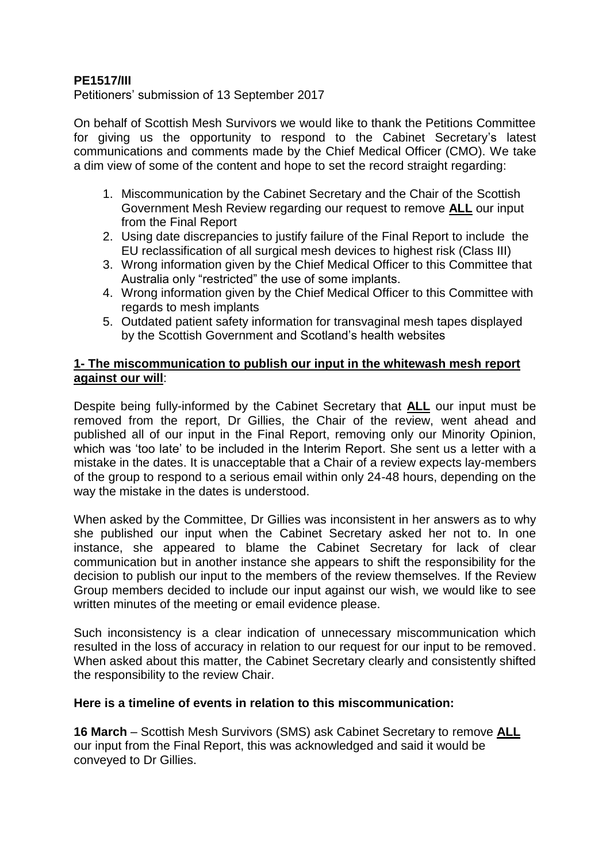## **PE1517/III**

Petitioners' submission of 13 September 2017

On behalf of Scottish Mesh Survivors we would like to thank the Petitions Committee for giving us the opportunity to respond to the Cabinet Secretary's latest communications and comments made by the Chief Medical Officer (CMO). We take a dim view of some of the content and hope to set the record straight regarding:

- 1. Miscommunication by the Cabinet Secretary and the Chair of the Scottish Government Mesh Review regarding our request to remove **ALL** our input from the Final Report
- 2. Using date discrepancies to justify failure of the Final Report to include the EU reclassification of all surgical mesh devices to highest risk (Class III)
- 3. Wrong information given by the Chief Medical Officer to this Committee that Australia only "restricted" the use of some implants.
- 4. Wrong information given by the Chief Medical Officer to this Committee with regards to mesh implants
- 5. Outdated patient safety information for transvaginal mesh tapes displayed by the Scottish Government and Scotland's health websites

### **1- The miscommunication to publish our input in the whitewash mesh report against our will**:

Despite being fully-informed by the Cabinet Secretary that **ALL** our input must be removed from the report, Dr Gillies, the Chair of the review, went ahead and published all of our input in the Final Report, removing only our Minority Opinion, which was 'too late' to be included in the Interim Report. She sent us a letter with a mistake in the dates. It is unacceptable that a Chair of a review expects lay-members of the group to respond to a serious email within only 24-48 hours, depending on the way the mistake in the dates is understood.

When asked by the Committee, Dr Gillies was inconsistent in her answers as to why she published our input when the Cabinet Secretary asked her not to. In one instance, she appeared to blame the Cabinet Secretary for lack of clear communication but in another instance she appears to shift the responsibility for the decision to publish our input to the members of the review themselves. If the Review Group members decided to include our input against our wish, we would like to see written minutes of the meeting or email evidence please.

Such inconsistency is a clear indication of unnecessary miscommunication which resulted in the loss of accuracy in relation to our request for our input to be removed. When asked about this matter, the Cabinet Secretary clearly and consistently shifted the responsibility to the review Chair.

### **Here is a timeline of events in relation to this miscommunication:**

**16 March** – Scottish Mesh Survivors (SMS) ask Cabinet Secretary to remove **ALL** our input from the Final Report, this was acknowledged and said it would be conveyed to Dr Gillies.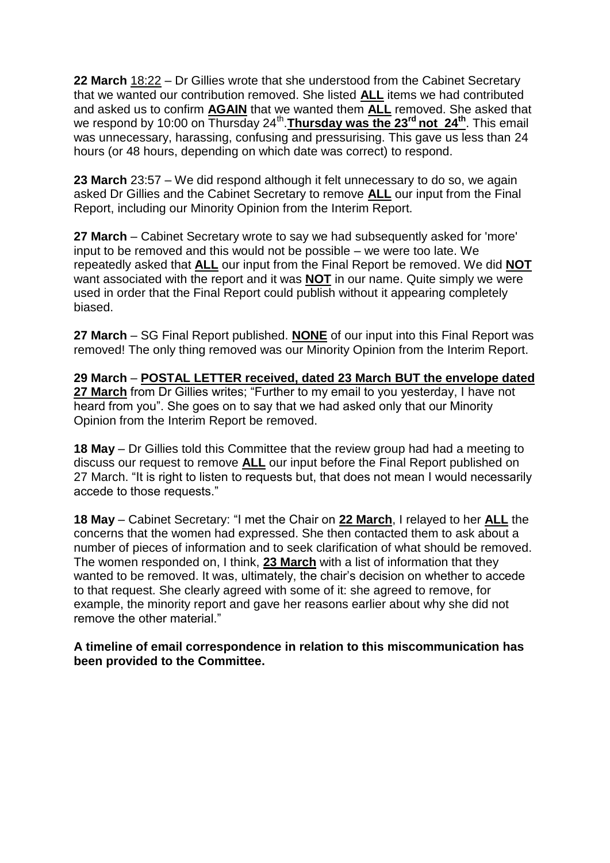**22 March** 18:22 – Dr Gillies wrote that she understood from the Cabinet Secretary that we wanted our contribution removed. She listed **ALL** items we had contributed and asked us to confirm **AGAIN** that we wanted them **ALL** removed. She asked that we respond by 10:00 on Thursday 24<sup>th</sup>. Thursday was the 23<sup>rd</sup> not 24<sup>th</sup>. This email was unnecessary, harassing, confusing and pressurising. This gave us less than 24 hours (or 48 hours, depending on which date was correct) to respond.

**23 March** 23:57 – We did respond although it felt unnecessary to do so, we again asked Dr Gillies and the Cabinet Secretary to remove **ALL** our input from the Final Report, including our Minority Opinion from the Interim Report.

**27 March** – Cabinet Secretary wrote to say we had subsequently asked for 'more' input to be removed and this would not be possible – we were too late. We repeatedly asked that **ALL** our input from the Final Report be removed. We did **NOT** want associated with the report and it was **NOT** in our name. Quite simply we were used in order that the Final Report could publish without it appearing completely biased.

**27 March** – SG Final Report published. **NONE** of our input into this Final Report was removed! The only thing removed was our Minority Opinion from the Interim Report.

**29 March** – **POSTAL LETTER received, dated 23 March BUT the envelope dated 27 March** from Dr Gillies writes; "Further to my email to you yesterday, I have not heard from you". She goes on to say that we had asked only that our Minority Opinion from the Interim Report be removed.

**18 May** – Dr Gillies told this Committee that the review group had had a meeting to discuss our request to remove **ALL** our input before the Final Report published on 27 March. "It is right to listen to requests but, that does not mean I would necessarily accede to those requests."

**18 May** – Cabinet Secretary: "I met the Chair on **22 March**, I relayed to her **ALL** the concerns that the women had expressed. She then contacted them to ask about a number of pieces of information and to seek clarification of what should be removed. The women responded on, I think, **23 March** with a list of information that they wanted to be removed. It was, ultimately, the chair's decision on whether to accede to that request. She clearly agreed with some of it: she agreed to remove, for example, the minority report and gave her reasons earlier about why she did not remove the other material."

**A timeline of email correspondence in relation to this miscommunication has been provided to the Committee.**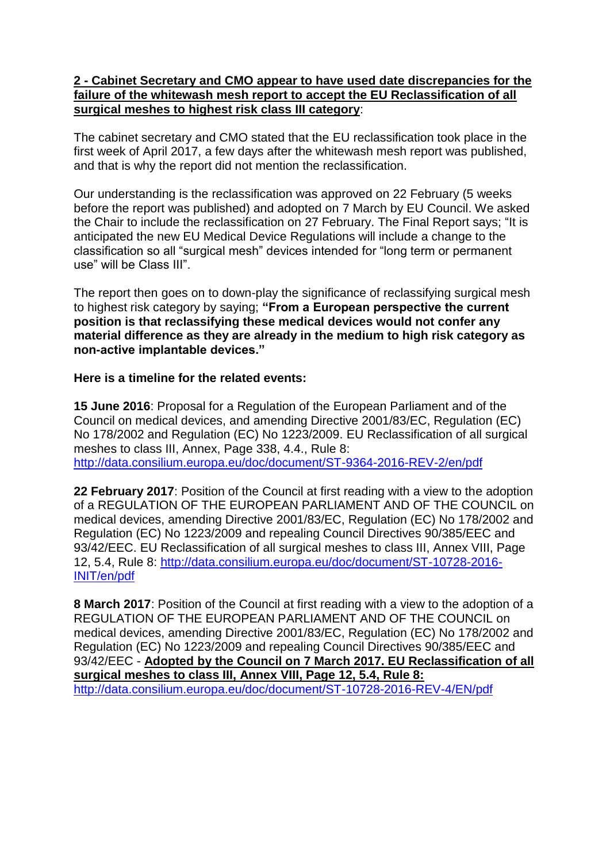### **2 - Cabinet Secretary and CMO appear to have used date discrepancies for the failure of the whitewash mesh report to accept the EU Reclassification of all surgical meshes to highest risk class III category**:

The cabinet secretary and CMO stated that the EU reclassification took place in the first week of April 2017, a few days after the whitewash mesh report was published, and that is why the report did not mention the reclassification.

Our understanding is the reclassification was approved on 22 February (5 weeks before the report was published) and adopted on 7 March by EU Council. We asked the Chair to include the reclassification on 27 February. The Final Report says; "It is anticipated the new EU Medical Device Regulations will include a change to the classification so all "surgical mesh" devices intended for "long term or permanent use" will be Class III".

The report then goes on to down-play the significance of reclassifying surgical mesh to highest risk category by saying; **"From a European perspective the current position is that reclassifying these medical devices would not confer any material difference as they are already in the medium to high risk category as non-active implantable devices."**

## **Here is a timeline for the related events:**

**15 June 2016**: Proposal for a Regulation of the European Parliament and of the Council on medical devices, and amending Directive 2001/83/EC, Regulation (EC) No 178/2002 and Regulation (EC) No 1223/2009. EU Reclassification of all surgical meshes to class III, Annex, Page 338, 4.4., Rule 8: <http://data.consilium.europa.eu/doc/document/ST-9364-2016-REV-2/en/pdf>

**22 February 2017**: Position of the Council at first reading with a view to the adoption of a REGULATION OF THE EUROPEAN PARLIAMENT AND OF THE COUNCIL on medical devices, amending Directive 2001/83/EC, Regulation (EC) No 178/2002 and Regulation (EC) No 1223/2009 and repealing Council Directives 90/385/EEC and 93/42/EEC. EU Reclassification of all surgical meshes to class III, Annex VIII, Page 12, 5.4, Rule 8: [http://data.consilium.europa.eu/doc/document/ST-10728-2016-](http://data.consilium.europa.eu/doc/document/ST-10728-2016-INIT/en/pdf) [INIT/en/pdf](http://data.consilium.europa.eu/doc/document/ST-10728-2016-INIT/en/pdf)

**8 March 2017**: Position of the Council at first reading with a view to the adoption of a REGULATION OF THE EUROPEAN PARLIAMENT AND OF THE COUNCIL on medical devices, amending Directive 2001/83/EC, Regulation (EC) No 178/2002 and Regulation (EC) No 1223/2009 and repealing Council Directives 90/385/EEC and 93/42/EEC - **Adopted by the Council on 7 March 2017. EU Reclassification of all surgical meshes to class III, Annex VIII, Page 12, 5.4, Rule 8:** <http://data.consilium.europa.eu/doc/document/ST-10728-2016-REV-4/EN/pdf>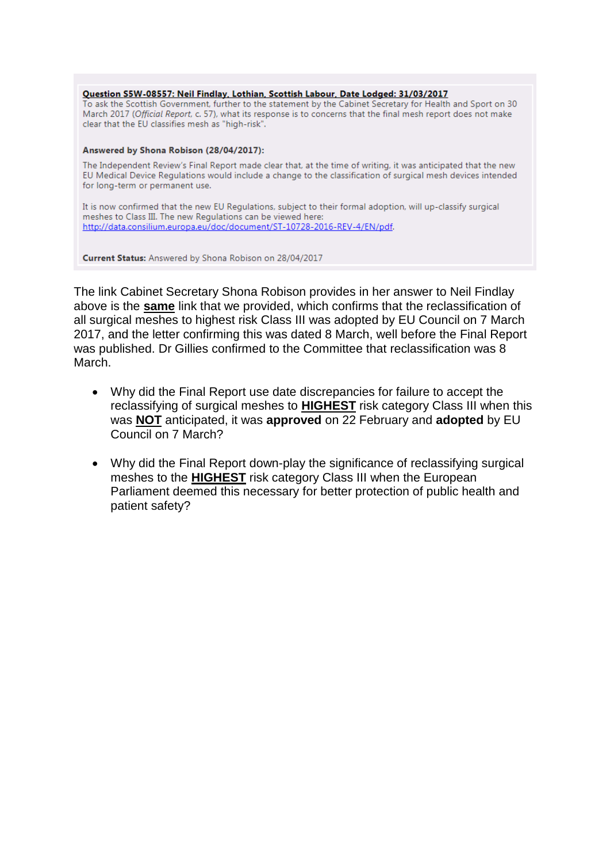Question S5W-08557: Neil Findlay, Lothian, Scottish Labour, Date Lodged: 31/03/2017

To ask the Scottish Government, further to the statement by the Cabinet Secretary for Health and Sport on 30 March 2017 (Official Report, c. 57), what its response is to concerns that the final mesh report does not make clear that the EU classifies mesh as "high-risk".

#### Answered by Shona Robison (28/04/2017):

The Independent Review's Final Report made clear that, at the time of writing, it was anticipated that the new EU Medical Device Regulations would include a change to the classification of surgical mesh devices intended for long-term or permanent use.

It is now confirmed that the new EU Regulations, subject to their formal adoption, will up-classify surgical meshes to Class III. The new Regulations can be viewed here: http://data.consilium.europa.eu/doc/document/ST-10728-2016-REV-4/EN/pdf.

Current Status: Answered by Shona Robison on 28/04/2017

The link Cabinet Secretary Shona Robison provides in her answer to Neil Findlay above is the **same** link that we provided, which confirms that the reclassification of all surgical meshes to highest risk Class III was adopted by EU Council on 7 March 2017, and the letter confirming this was dated 8 March, well before the Final Report was published. Dr Gillies confirmed to the Committee that reclassification was 8 March.

- Why did the Final Report use date discrepancies for failure to accept the reclassifying of surgical meshes to **HIGHEST** risk category Class III when this was **NOT** anticipated, it was **approved** on 22 February and **adopted** by EU Council on 7 March?
- Why did the Final Report down-play the significance of reclassifying surgical meshes to the **HIGHEST** risk category Class III when the European Parliament deemed this necessary for better protection of public health and patient safety?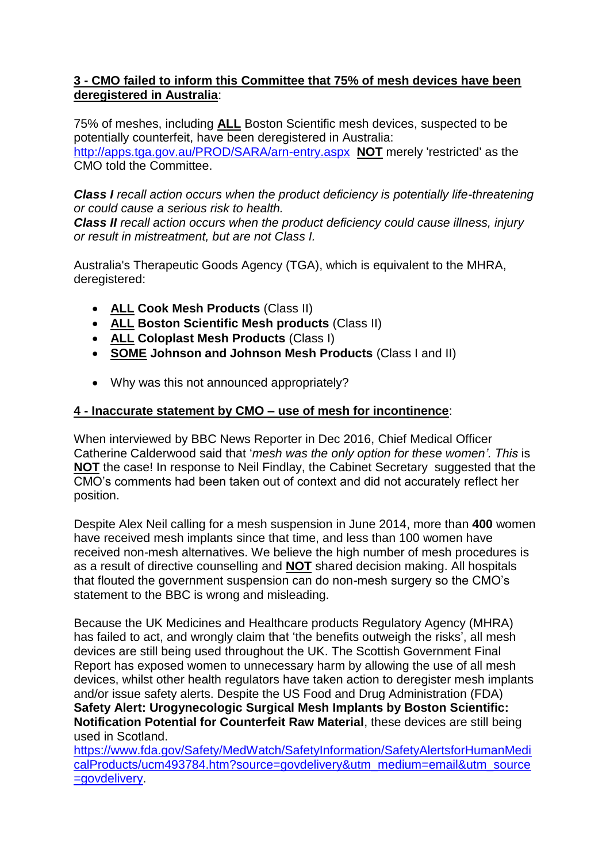## **3 - CMO failed to inform this Committee that 75% of mesh devices have been deregistered in Australia**:

75% of meshes, including **ALL** Boston Scientific mesh devices, suspected to be potentially counterfeit, have been deregistered in Australia: <http://apps.tga.gov.au/PROD/SARA/arn-entry.aspx> **NOT** merely 'restricted' as the CMO told the Committee.

*Class I recall action occurs when the product deficiency is potentially life-threatening or could cause a serious risk to health.*

*Class II recall action occurs when the product deficiency could cause illness, injury or result in mistreatment, but are not Class I.*

Australia's Therapeutic Goods Agency (TGA), which is equivalent to the MHRA, deregistered:

- **ALL Cook Mesh Products** (Class II)
- **ALL Boston Scientific Mesh products** (Class II)
- **ALL Coloplast Mesh Products** (Class I)
- **SOME Johnson and Johnson Mesh Products** (Class I and II)
- Why was this not announced appropriately?

# **4 - Inaccurate statement by CMO – use of mesh for incontinence**:

When interviewed by BBC News Reporter in Dec 2016, Chief Medical Officer Catherine Calderwood said that '*mesh was the only option for these women'. This* is **NOT** the case! In response to Neil Findlay, the Cabinet Secretary suggested that the CMO's comments had been taken out of context and did not accurately reflect her position.

Despite Alex Neil calling for a mesh suspension in June 2014, more than **400** women have received mesh implants since that time, and less than 100 women have received non-mesh alternatives. We believe the high number of mesh procedures is as a result of directive counselling and **NOT** shared decision making. All hospitals that flouted the government suspension can do non-mesh surgery so the CMO's statement to the BBC is wrong and misleading.

Because the UK Medicines and Healthcare products Regulatory Agency (MHRA) has failed to act, and wrongly claim that 'the benefits outweigh the risks', all mesh devices are still being used throughout the UK. The Scottish Government Final Report has exposed women to unnecessary harm by allowing the use of all mesh devices, whilst other health regulators have taken action to deregister mesh implants and/or issue safety alerts. Despite the US Food and Drug Administration (FDA) **Safety Alert: Urogynecologic Surgical Mesh Implants by Boston Scientific: Notification Potential for Counterfeit Raw Material**, these devices are still being used in Scotland.

[https://www.fda.gov/Safety/MedWatch/SafetyInformation/SafetyAlertsforHumanMedi](https://www.fda.gov/Safety/MedWatch/SafetyInformation/SafetyAlertsforHumanMedicalProducts/ucm493784.htm?source=govdelivery&utm_medium=email&utm_source=govdelivery) [calProducts/ucm493784.htm?source=govdelivery&utm\\_medium=email&utm\\_source](https://www.fda.gov/Safety/MedWatch/SafetyInformation/SafetyAlertsforHumanMedicalProducts/ucm493784.htm?source=govdelivery&utm_medium=email&utm_source=govdelivery) [=govdelivery.](https://www.fda.gov/Safety/MedWatch/SafetyInformation/SafetyAlertsforHumanMedicalProducts/ucm493784.htm?source=govdelivery&utm_medium=email&utm_source=govdelivery)